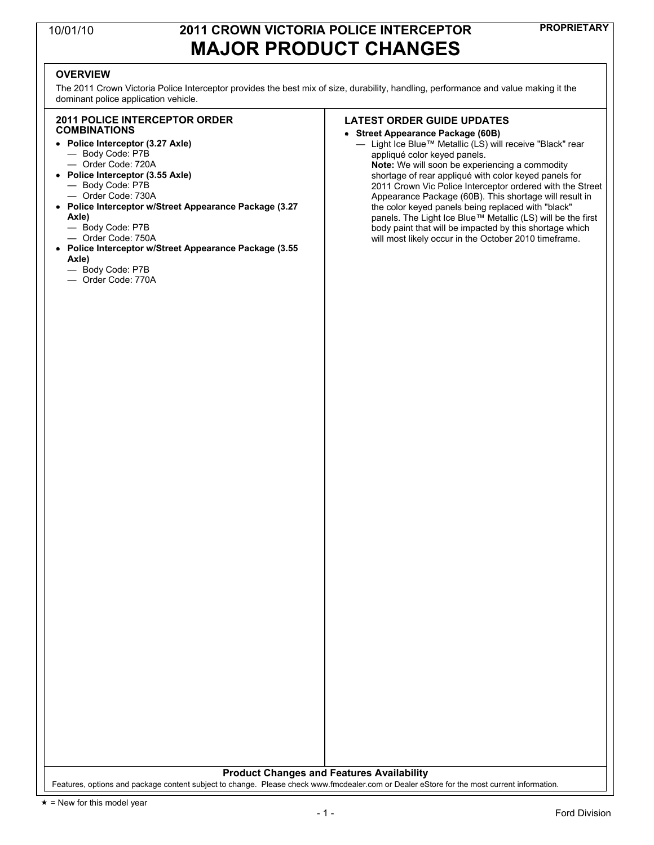### **PROPRIETARY** 10/01/10 **2011 CROWN VICTORIA POLICE INTERCEPTOR MAJOR PRODUCT CHANGES**

### **OVERVIEW**

The 2011 Crown Victoria Police Interceptor provides the best mix of size, durability, handling, performance and value making it the dominant police application vehicle.

### **2011 POLICE INTERCEPTOR ORDER COMBINATIONS**

- **Police Interceptor (3.27 Axle)** — Body Code: P7B
	- Order Code: 720A
- **Police Interceptor (3.55 Axle)** — Body Code: P7B
	- Order Code: 730A
- **Police Interceptor w/Street Appearance Package (3.27 Axle)**
	- Body Code: P7B
	- Order Code: 750A
- **Police Interceptor w/Street Appearance Package (3.55 Axle)**
	- Body Code: P7B
	- Order Code: 770A

### **LATEST ORDER GUIDE UPDATES**

- **Street Appearance Package (60B)**
	- Light Ice Blue™ Metallic (LS) will receive "Black" rear appliqué color keyed panels. **Note:** We will soon be experiencing a commodity shortage of rear appliqué with color keyed panels for 2011 Crown Vic Police Interceptor ordered with the Street Appearance Package (60B). This shortage will result in the color keyed panels being replaced with "black" panels. The Light Ice Blue™ Metallic (LS) will be the first body paint that will be impacted by this shortage which will most likely occur in the October 2010 timeframe.

**Product Changes and Features Availability**

Features, options and package content subject to change. Please check www.fmcdealer.com or Dealer eStore for the most current information.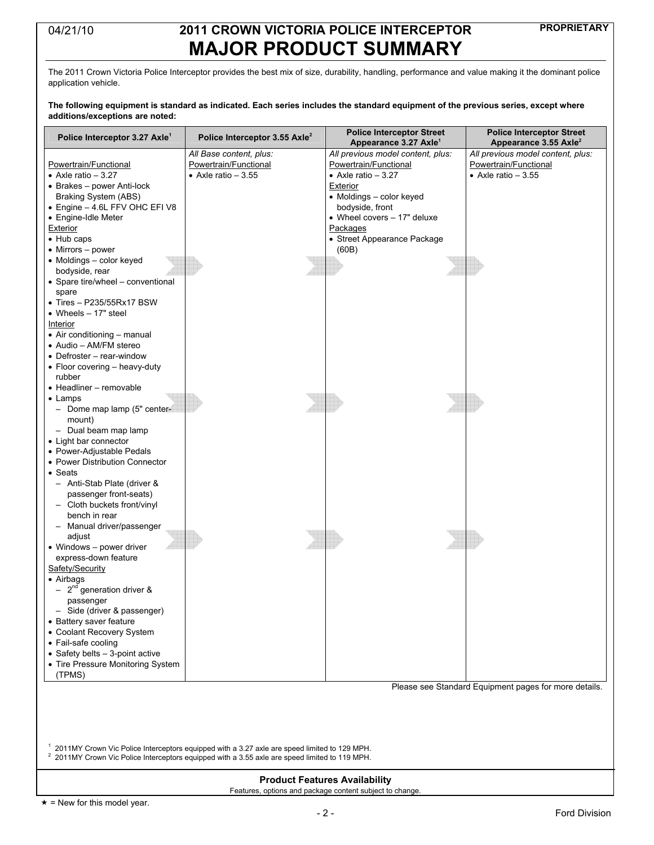## **PROPRIETARY** 04/21/10 **2011 CROWN VICTORIA POLICE INTERCEPTOR MAJOR PRODUCT SUMMARY**

The 2011 Crown Victoria Police Interceptor provides the best mix of size, durability, handling, performance and value making it the dominant police application vehicle.

#### The following equipment is standard as indicated. Each series includes the standard equipment of the previous series, except where **additions/exceptions are noted:**

| Police Interceptor 3.27 Axle <sup>1</sup>                                                    | Police Interceptor 3.55 Axle <sup>2</sup>                                                        | <b>Police Interceptor Street</b>                                       | <b>Police Interceptor Street</b>                                       |  |  |  |
|----------------------------------------------------------------------------------------------|--------------------------------------------------------------------------------------------------|------------------------------------------------------------------------|------------------------------------------------------------------------|--|--|--|
|                                                                                              | All Base content, plus:                                                                          | Appearance 3.27 Axle <sup>1</sup><br>All previous model content, plus: | Appearance 3.55 Axle <sup>2</sup><br>All previous model content, plus: |  |  |  |
| Powertrain/Functional                                                                        | Powertrain/Functional                                                                            | Powertrain/Functional                                                  | Powertrain/Functional                                                  |  |  |  |
| • Axle ratio $-3.27$                                                                         | $\bullet$ Axle ratio - 3.55                                                                      | $\bullet$ Axle ratio - 3.27                                            | • Axle ratio $-3.55$                                                   |  |  |  |
| • Brakes - power Anti-lock                                                                   |                                                                                                  | Exterior                                                               |                                                                        |  |  |  |
| Braking System (ABS)                                                                         |                                                                                                  | • Moldings - color keyed                                               |                                                                        |  |  |  |
| • Engine - 4.6L FFV OHC EFI V8                                                               |                                                                                                  | bodyside, front                                                        |                                                                        |  |  |  |
| • Engine-Idle Meter                                                                          |                                                                                                  | • Wheel covers - 17" deluxe                                            |                                                                        |  |  |  |
| Exterior                                                                                     |                                                                                                  | Packages                                                               |                                                                        |  |  |  |
| $\bullet$ Hub caps                                                                           |                                                                                                  | • Street Appearance Package                                            |                                                                        |  |  |  |
| • Mirrors - power                                                                            |                                                                                                  | (60B)                                                                  |                                                                        |  |  |  |
| • Moldings - color keyed                                                                     |                                                                                                  |                                                                        |                                                                        |  |  |  |
| bodyside, rear                                                                               |                                                                                                  |                                                                        |                                                                        |  |  |  |
| • Spare tire/wheel - conventional                                                            |                                                                                                  |                                                                        |                                                                        |  |  |  |
| spare                                                                                        |                                                                                                  |                                                                        |                                                                        |  |  |  |
| $\bullet$ Tires - P235/55Rx17 BSW                                                            |                                                                                                  |                                                                        |                                                                        |  |  |  |
| • Wheels $-17"$ steel                                                                        |                                                                                                  |                                                                        |                                                                        |  |  |  |
| Interior<br>• Air conditioning - manual                                                      |                                                                                                  |                                                                        |                                                                        |  |  |  |
| • Audio - AM/FM stereo                                                                       |                                                                                                  |                                                                        |                                                                        |  |  |  |
| • Defroster - rear-window                                                                    |                                                                                                  |                                                                        |                                                                        |  |  |  |
| • Floor covering - heavy-duty                                                                |                                                                                                  |                                                                        |                                                                        |  |  |  |
| rubber                                                                                       |                                                                                                  |                                                                        |                                                                        |  |  |  |
| • Headliner - removable                                                                      |                                                                                                  |                                                                        |                                                                        |  |  |  |
| • Lamps                                                                                      |                                                                                                  |                                                                        |                                                                        |  |  |  |
| - Dome map lamp (5" center-                                                                  |                                                                                                  |                                                                        |                                                                        |  |  |  |
| mount)                                                                                       |                                                                                                  |                                                                        |                                                                        |  |  |  |
| - Dual beam map lamp                                                                         |                                                                                                  |                                                                        |                                                                        |  |  |  |
| • Light bar connector                                                                        |                                                                                                  |                                                                        |                                                                        |  |  |  |
| • Power-Adjustable Pedals                                                                    |                                                                                                  |                                                                        |                                                                        |  |  |  |
| • Power Distribution Connector                                                               |                                                                                                  |                                                                        |                                                                        |  |  |  |
| • Seats                                                                                      |                                                                                                  |                                                                        |                                                                        |  |  |  |
| - Anti-Stab Plate (driver &                                                                  |                                                                                                  |                                                                        |                                                                        |  |  |  |
| passenger front-seats)                                                                       |                                                                                                  |                                                                        |                                                                        |  |  |  |
| - Cloth buckets front/vinyl                                                                  |                                                                                                  |                                                                        |                                                                        |  |  |  |
| bench in rear                                                                                |                                                                                                  |                                                                        |                                                                        |  |  |  |
| Manual driver/passenger                                                                      |                                                                                                  |                                                                        |                                                                        |  |  |  |
| adjust                                                                                       |                                                                                                  |                                                                        |                                                                        |  |  |  |
| • Windows - power driver                                                                     |                                                                                                  |                                                                        |                                                                        |  |  |  |
| express-down feature                                                                         |                                                                                                  |                                                                        |                                                                        |  |  |  |
| Safety/Security                                                                              |                                                                                                  |                                                                        |                                                                        |  |  |  |
| • Airbags<br>$-2^{nd}$ generation driver &                                                   |                                                                                                  |                                                                        |                                                                        |  |  |  |
| passenger                                                                                    |                                                                                                  |                                                                        |                                                                        |  |  |  |
| - Side (driver & passenger)                                                                  |                                                                                                  |                                                                        |                                                                        |  |  |  |
| • Battery saver feature                                                                      |                                                                                                  |                                                                        |                                                                        |  |  |  |
| • Coolant Recovery System                                                                    |                                                                                                  |                                                                        |                                                                        |  |  |  |
| • Fail-safe cooling                                                                          |                                                                                                  |                                                                        |                                                                        |  |  |  |
| • Safety belts - 3-point active                                                              |                                                                                                  |                                                                        |                                                                        |  |  |  |
| • Tire Pressure Monitoring System                                                            |                                                                                                  |                                                                        |                                                                        |  |  |  |
| (TPMS)                                                                                       |                                                                                                  |                                                                        |                                                                        |  |  |  |
| Please see Standard Equipment pages for more details.                                        |                                                                                                  |                                                                        |                                                                        |  |  |  |
|                                                                                              |                                                                                                  |                                                                        |                                                                        |  |  |  |
|                                                                                              |                                                                                                  |                                                                        |                                                                        |  |  |  |
|                                                                                              |                                                                                                  |                                                                        |                                                                        |  |  |  |
|                                                                                              |                                                                                                  |                                                                        |                                                                        |  |  |  |
| 2011MY Crown Vic Police Interceptors equipped with a 3.27 axle are speed limited to 129 MPH. |                                                                                                  |                                                                        |                                                                        |  |  |  |
|                                                                                              | $2$ 2011MY Crown Vic Police Interceptors equipped with a 3.55 axle are speed limited to 119 MPH. |                                                                        |                                                                        |  |  |  |
|                                                                                              |                                                                                                  |                                                                        |                                                                        |  |  |  |
|                                                                                              | <b>Product Features Availability</b>                                                             |                                                                        |                                                                        |  |  |  |

 $\star$  = New for this model year.

Features, options and package content subject to change.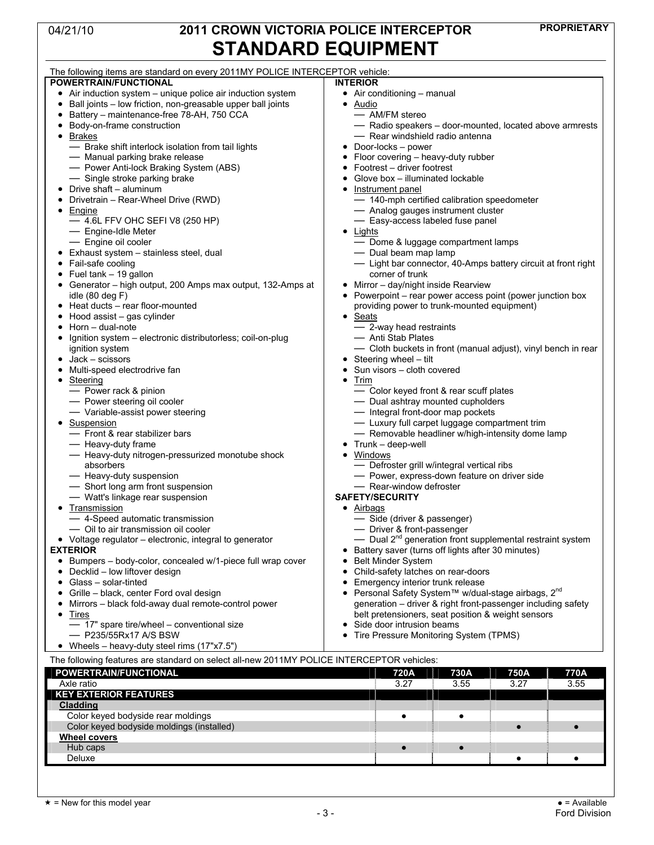**Wheel covers**

## **PROPRIETARY** 04/21/10 **2011 CROWN VICTORIA POLICE INTERCEPTOR STANDARD EQUIPMENT**

| The following items are standard on every 2011MY POLICE INTERCEPTOR vehicle:              |                                                                       |  |  |  |
|-------------------------------------------------------------------------------------------|-----------------------------------------------------------------------|--|--|--|
| <b>POWERTRAIN/FUNCTIONAL</b>                                                              | <b>INTERIOR</b>                                                       |  |  |  |
| • Air induction system - unique police air induction system                               | • Air conditioning - manual                                           |  |  |  |
| Ball joints - low friction, non-greasable upper ball joints<br>٠                          | Audio<br>$\bullet$                                                    |  |  |  |
| Battery - maintenance-free 78-AH, 750 CCA                                                 | - AM/FM stereo                                                        |  |  |  |
| Body-on-frame construction                                                                | - Radio speakers - door-mounted, located above armrests               |  |  |  |
|                                                                                           |                                                                       |  |  |  |
| Brakes<br>$\bullet$                                                                       | - Rear windshield radio antenna                                       |  |  |  |
| - Brake shift interlock isolation from tail lights                                        | Door-locks - power                                                    |  |  |  |
| - Manual parking brake release                                                            | Floor covering - heavy-duty rubber                                    |  |  |  |
| - Power Anti-lock Braking System (ABS)                                                    | Footrest - driver footrest                                            |  |  |  |
| - Single stroke parking brake                                                             | Glove box - illuminated lockable                                      |  |  |  |
| Drive shaft - aluminum                                                                    | Instrument panel                                                      |  |  |  |
| Drivetrain - Rear-Wheel Drive (RWD)                                                       | - 140-mph certified calibration speedometer                           |  |  |  |
| Engine                                                                                    | - Analog gauges instrument cluster                                    |  |  |  |
| $-4.6$ L FFV OHC SEFI V8 (250 HP)                                                         | - Easy-access labeled fuse panel                                      |  |  |  |
| - Engine-Idle Meter                                                                       | Lights                                                                |  |  |  |
| - Engine oil cooler                                                                       | - Dome & luggage compartment lamps                                    |  |  |  |
|                                                                                           |                                                                       |  |  |  |
| Exhaust system - stainless steel, dual                                                    | - Dual beam map lamp                                                  |  |  |  |
| Fail-safe cooling                                                                         | - Light bar connector, 40-Amps battery circuit at front right         |  |  |  |
| Fuel tank - 19 gallon                                                                     | corner of trunk                                                       |  |  |  |
| Generator - high output, 200 Amps max output, 132-Amps at                                 | Mirror - day/night inside Rearview                                    |  |  |  |
| idle (80 deg F)                                                                           | Powerpoint – rear power access point (power junction box              |  |  |  |
| Heat ducts - rear floor-mounted                                                           | providing power to trunk-mounted equipment)                           |  |  |  |
| Hood assist - gas cylinder                                                                | <b>Seats</b><br>$\bullet$                                             |  |  |  |
| Horn - dual-note                                                                          | - 2-way head restraints                                               |  |  |  |
| Ignition system - electronic distributorless; coil-on-plug                                | — Anti Stab Plates                                                    |  |  |  |
| ignition system                                                                           | - Cloth buckets in front (manual adjust), vinyl bench in rear         |  |  |  |
| Jack - scissors                                                                           | Steering wheel - tilt                                                 |  |  |  |
|                                                                                           | Sun visors - cloth covered                                            |  |  |  |
| Multi-speed electrodrive fan                                                              |                                                                       |  |  |  |
| Steering                                                                                  | Trim                                                                  |  |  |  |
| - Power rack & pinion                                                                     | - Color keyed front & rear scuff plates                               |  |  |  |
| - Power steering oil cooler                                                               | - Dual ashtray mounted cupholders                                     |  |  |  |
| - Variable-assist power steering                                                          | - Integral front-door map pockets                                     |  |  |  |
| Suspension                                                                                | - Luxury full carpet luggage compartment trim                         |  |  |  |
| - Front & rear stabilizer bars<br>- Removable headliner w/high-intensity dome lamp        |                                                                       |  |  |  |
| - Heavy-duty frame                                                                        | Trunk - deep-well                                                     |  |  |  |
| - Heavy-duty nitrogen-pressurized monotube shock                                          | Windows                                                               |  |  |  |
| absorbers                                                                                 | - Defroster grill w/integral vertical ribs                            |  |  |  |
| - Heavy-duty suspension                                                                   | - Power, express-down feature on driver side                          |  |  |  |
| - Short long arm front suspension                                                         | - Rear-window defroster                                               |  |  |  |
|                                                                                           | <b>SAFETY/SECURITY</b>                                                |  |  |  |
| - Watt's linkage rear suspension                                                          |                                                                       |  |  |  |
| Transmission                                                                              | • Airbags                                                             |  |  |  |
| - 4-Speed automatic transmission                                                          | - Side (driver & passenger)                                           |  |  |  |
| - Oil to air transmission oil cooler                                                      | - Driver & front-passenger                                            |  |  |  |
| • Voltage regulator – electronic, integral to generator                                   | - Dual 2 <sup>nd</sup> generation front supplemental restraint system |  |  |  |
| <b>EXTERIOR</b>                                                                           | Battery saver (turns off lights after 30 minutes)                     |  |  |  |
| Bumpers - body-color, concealed w/1-piece full wrap cover                                 | <b>Belt Minder System</b>                                             |  |  |  |
| Decklid - low liftover design                                                             | Child-safety latches on rear-doors                                    |  |  |  |
| Glass - solar-tinted                                                                      | Emergency interior trunk release                                      |  |  |  |
| Grille - black, center Ford oval design                                                   | Personal Safety System™ w/dual-stage airbags, 2 <sup>nd</sup>         |  |  |  |
| Mirrors - black fold-away dual remote-control power                                       | generation - driver & right front-passenger including safety          |  |  |  |
|                                                                                           |                                                                       |  |  |  |
| Tires<br>٠                                                                                | belt pretensioners, seat position & weight sensors                    |  |  |  |
| - 17" spare tire/wheel - conventional size                                                | Side door intrusion beams                                             |  |  |  |
| — P235/55Rx17 A/S BSW                                                                     | Tire Pressure Monitoring System (TPMS)                                |  |  |  |
| • Wheels – heavy-duty steel rims $(17"x7.5")$                                             |                                                                       |  |  |  |
| The following features are standard on select all-new 2011MY POLICE INTERCEPTOR vehicles: |                                                                       |  |  |  |
| POWERTRAIN/FUNCTIONAL                                                                     | 720A<br>730A<br>750A                                                  |  |  |  |
|                                                                                           | 770A                                                                  |  |  |  |
| Axle ratio                                                                                | 3.55<br>3.27<br>3.27<br>3.55                                          |  |  |  |
| <b>KEY EXTERIOR FEATURES</b>                                                              |                                                                       |  |  |  |
| <b>Cladding</b>                                                                           |                                                                       |  |  |  |

Color keyed bodyside rear moldings ● ●

Hub caps ● ●

Color keyed bodyside moldings (installed) ● ●

Deluxe ● ●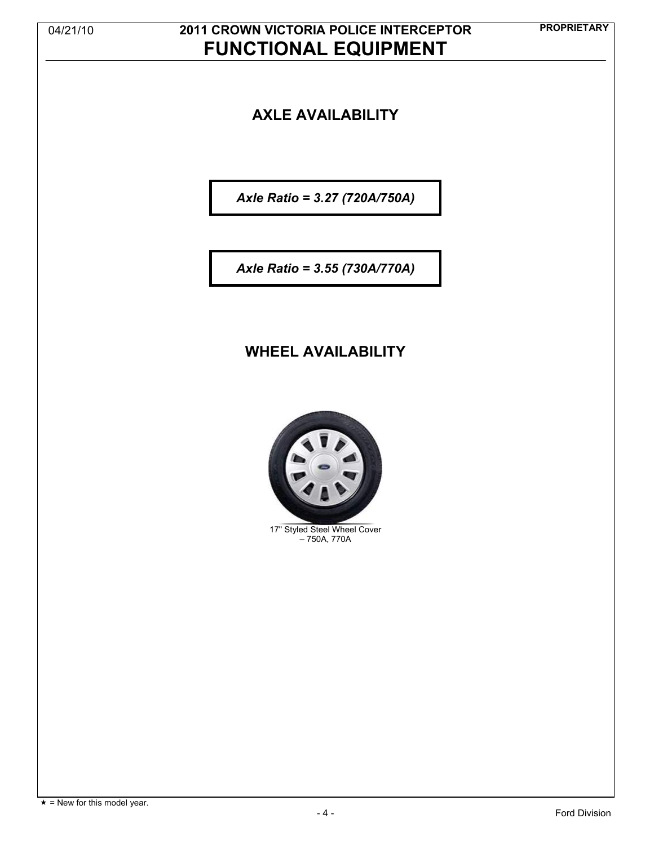## **PROPRIETARY** 04/21/10 **2011 CROWN VICTORIA POLICE INTERCEPTOR FUNCTIONAL EQUIPMENT**

### **AXLE AVAILABILITY**

*Axle Ratio = 3.27 (720A/750A)*

*Axle Ratio = 3.55 (730A/770A)*

### **WHEEL AVAILABILITY**



17" Styled Steel Wheel Cover – 750A, 770A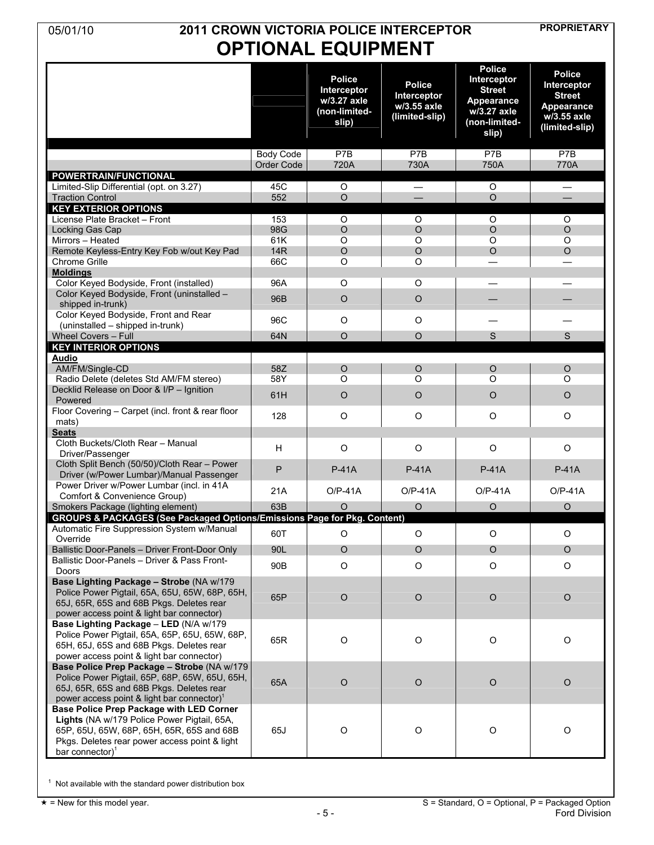### **PROPRIETARY** 05/01/10 **2011 CROWN VICTORIA POLICE INTERCEPTOR OPTIONAL EQUIPMENT**

|                                                                                                                                                                                                             |                                | <b>Police</b><br>Interceptor<br>w/3.27 axle<br>(non-limited-<br>slip) | <b>Police</b><br>Interceptor<br>w/3.55 axle<br>(limited-slip) | <b>Police</b><br>Interceptor<br><b>Street</b><br>Appearance<br>w/3.27 axle<br>(non-limited-<br>slip) | <b>Police</b><br>Interceptor<br><b>Street</b><br>Appearance<br>w/3.55 axle<br>(limited-slip) |
|-------------------------------------------------------------------------------------------------------------------------------------------------------------------------------------------------------------|--------------------------------|-----------------------------------------------------------------------|---------------------------------------------------------------|------------------------------------------------------------------------------------------------------|----------------------------------------------------------------------------------------------|
|                                                                                                                                                                                                             | <b>Body Code</b><br>Order Code | P7B<br>720A                                                           | P7B<br>730A                                                   | P7B<br>750A                                                                                          | P7B<br>770A                                                                                  |
| <b>POWERTRAIN/FUNCTIONAL</b>                                                                                                                                                                                |                                |                                                                       |                                                               |                                                                                                      |                                                                                              |
| Limited-Slip Differential (opt. on 3.27)                                                                                                                                                                    | 45C                            | O                                                                     | —                                                             | O                                                                                                    |                                                                                              |
| <b>Traction Control</b>                                                                                                                                                                                     | 552                            | $\circ$                                                               |                                                               | $\circ$                                                                                              |                                                                                              |
| <b>KEY EXTERIOR OPTIONS</b><br>License Plate Bracket - Front                                                                                                                                                | 153                            | O                                                                     | O                                                             | O                                                                                                    | O                                                                                            |
| Locking Gas Cap                                                                                                                                                                                             | 98G                            | $\circ$                                                               | $\circ$                                                       | $\circ$                                                                                              | $\circ$                                                                                      |
| Mirrors - Heated                                                                                                                                                                                            | 61K                            | $\circ$                                                               | $\circ$                                                       | $\circ$                                                                                              | $\circ$                                                                                      |
| Remote Keyless-Entry Key Fob w/out Key Pad                                                                                                                                                                  | <b>14R</b>                     | $\circ$                                                               | $\circ$                                                       | $\circ$                                                                                              | $\circ$                                                                                      |
| <b>Chrome Grille</b>                                                                                                                                                                                        | 66C                            | $\circ$                                                               | O                                                             |                                                                                                      |                                                                                              |
| <b>Moldings</b><br>Color Keyed Bodyside, Front (installed)                                                                                                                                                  | 96A                            | $\circ$                                                               | O                                                             |                                                                                                      |                                                                                              |
| Color Keyed Bodyside, Front (uninstalled -                                                                                                                                                                  |                                |                                                                       |                                                               |                                                                                                      |                                                                                              |
| shipped in-trunk)                                                                                                                                                                                           | 96B                            | $\circ$                                                               | $\circ$                                                       |                                                                                                      |                                                                                              |
| Color Keyed Bodyside, Front and Rear                                                                                                                                                                        | 96C                            | $\circ$                                                               | $\circ$                                                       |                                                                                                      |                                                                                              |
| (uninstalled - shipped in-trunk)                                                                                                                                                                            |                                |                                                                       |                                                               |                                                                                                      |                                                                                              |
| Wheel Covers - Full<br><b>KEY INTERIOR OPTIONS</b>                                                                                                                                                          | 64N                            | $\circ$                                                               | $\circ$                                                       | S                                                                                                    | S                                                                                            |
| <b>Audio</b>                                                                                                                                                                                                |                                |                                                                       |                                                               |                                                                                                      |                                                                                              |
| AM/FM/Single-CD                                                                                                                                                                                             | 58Z                            | $\circ$                                                               | $\circ$                                                       | $\circ$                                                                                              | $\circ$                                                                                      |
| Radio Delete (deletes Std AM/FM stereo)                                                                                                                                                                     | 58Y                            | $\circ$                                                               | $\circ$                                                       | $\circ$                                                                                              | $\circ$                                                                                      |
| Decklid Release on Door & I/P - Ignition<br>Powered                                                                                                                                                         | 61H                            | $\circ$                                                               | O                                                             | $\circ$                                                                                              | $\circ$                                                                                      |
| Floor Covering - Carpet (incl. front & rear floor                                                                                                                                                           | 128                            | $\circ$                                                               | $\circ$                                                       | O                                                                                                    | O                                                                                            |
| mats)<br><b>Seats</b>                                                                                                                                                                                       |                                |                                                                       |                                                               |                                                                                                      |                                                                                              |
| Cloth Buckets/Cloth Rear - Manual                                                                                                                                                                           |                                |                                                                       |                                                               |                                                                                                      |                                                                                              |
| Driver/Passenger                                                                                                                                                                                            | н                              | $\circ$                                                               | $\circ$                                                       | O                                                                                                    | $\circ$                                                                                      |
| Cloth Split Bench (50/50)/Cloth Rear - Power<br>Driver (w/Power Lumbar)/Manual Passenger                                                                                                                    | P                              | <b>P-41A</b>                                                          | <b>P-41A</b>                                                  | <b>P-41A</b>                                                                                         | $P-41A$                                                                                      |
| Power Driver w/Power Lumbar (incl. in 41A<br>Comfort & Convenience Group)                                                                                                                                   | 21A                            | $O/P-41A$                                                             | $O/P-41A$                                                     | $O/P-41A$                                                                                            | $O/P-41A$                                                                                    |
| Smokers Package (lighting element)                                                                                                                                                                          | 63B                            | O                                                                     | $\circ$                                                       | O                                                                                                    | $\circ$                                                                                      |
| GROUPS & PACKAGES (See Packaged Options/Emissions Page for Pkg. Content)                                                                                                                                    |                                |                                                                       |                                                               |                                                                                                      |                                                                                              |
| Automatic Fire Suppression System w/Manual                                                                                                                                                                  | 60T                            | O                                                                     | O                                                             | $\circ$                                                                                              | O                                                                                            |
| Override<br>Ballistic Door-Panels - Driver Front-Door Only                                                                                                                                                  | 90L                            | $\circ$                                                               | $\circ$                                                       | $\circ$                                                                                              | $\circ$                                                                                      |
| Ballistic Door-Panels - Driver & Pass Front-                                                                                                                                                                |                                |                                                                       |                                                               |                                                                                                      |                                                                                              |
| Doors                                                                                                                                                                                                       | 90B                            | O                                                                     | $\mathsf O$                                                   | O                                                                                                    | $\circ$                                                                                      |
| Base Lighting Package - Strobe (NA w/179<br>Police Power Pigtail, 65A, 65U, 65W, 68P, 65H,<br>65J, 65R, 65S and 68B Pkgs. Deletes rear<br>power access point & light bar connector)                         | 65P                            | $\circ$                                                               | $\circ$                                                       | $\circ$                                                                                              | $\circ$                                                                                      |
| Base Lighting Package - LED (N/A w/179<br>Police Power Pigtail, 65A, 65P, 65U, 65W, 68P,<br>65H, 65J, 65S and 68B Pkgs. Deletes rear<br>power access point & light bar connector)                           | 65R                            | $\mathsf O$                                                           | $\circ$                                                       | $\circ$                                                                                              | $\mathsf O$                                                                                  |
| Base Police Prep Package - Strobe (NA w/179)<br>Police Power Pigtail, 65P, 68P, 65W, 65U, 65H,<br>65J, 65R, 65S and 68B Pkgs. Deletes rear<br>power access point & light bar connector) <sup>1</sup>        | 65A                            | $\circ$                                                               | $\circ$                                                       | $\mathsf O$                                                                                          | $\circ$                                                                                      |
| Base Police Prep Package with LED Corner<br>Lights (NA w/179 Police Power Pigtail, 65A,<br>65P, 65U, 65W, 68P, 65H, 65R, 65S and 68B<br>Pkgs. Deletes rear power access point & light<br>bar connector) $1$ | 65J                            | $\circ$                                                               | $\circ$                                                       | $\circ$                                                                                              | $\mathsf O$                                                                                  |

 $1$  Not available with the standard power distribution box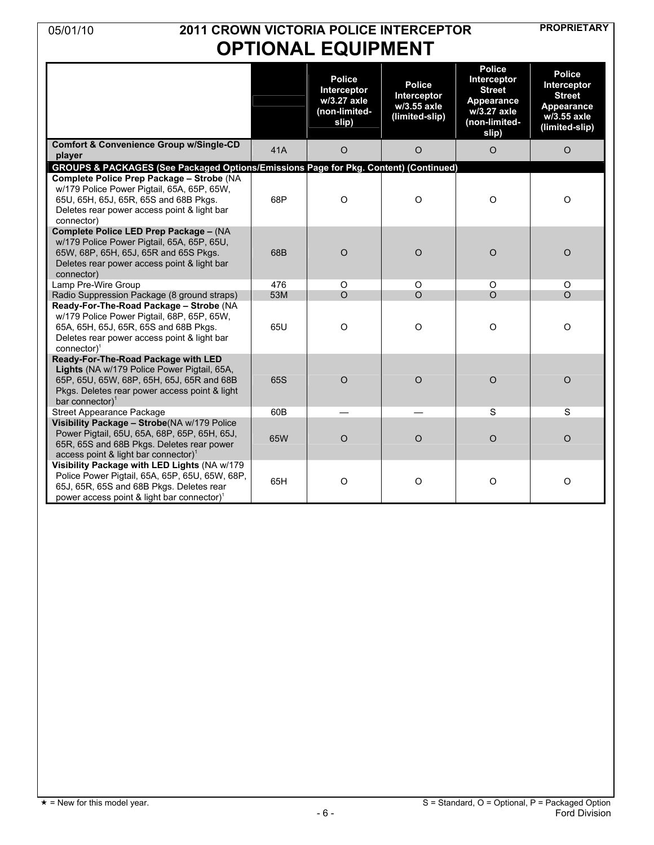### **PROPRIETARY** 05/01/10 **2011 CROWN VICTORIA POLICE INTERCEPTOR OPTIONAL EQUIPMENT**

|                                                                                                                                                                                                        |     | <b>Police</b><br>Interceptor<br>w/3.27 axle<br>(non-limited-<br>slip) | <b>Police</b><br>Interceptor<br>w/3.55 axle<br>(limited-slip) | <b>Police</b><br>Interceptor<br><b>Street</b><br>Appearance<br>w/3.27 axle<br>(non-limited-<br>slip) | <b>Police</b><br>Interceptor<br><b>Street</b><br>Appearance<br>w/3.55 axle<br>(limited-slip) |
|--------------------------------------------------------------------------------------------------------------------------------------------------------------------------------------------------------|-----|-----------------------------------------------------------------------|---------------------------------------------------------------|------------------------------------------------------------------------------------------------------|----------------------------------------------------------------------------------------------|
| <b>Comfort &amp; Convenience Group w/Single-CD</b><br>player                                                                                                                                           | 41A | $\circ$                                                               | $\circ$                                                       | $\circ$                                                                                              | $\circ$                                                                                      |
| GROUPS & PACKAGES (See Packaged Options/Emissions Page for Pkg. Content) (Continued)                                                                                                                   |     |                                                                       |                                                               |                                                                                                      |                                                                                              |
| Complete Police Prep Package - Strobe (NA<br>w/179 Police Power Pigtail, 65A, 65P, 65W,<br>65U, 65H, 65J, 65R, 65S and 68B Pkgs.<br>Deletes rear power access point & light bar<br>connector)          | 68P | $\circ$                                                               | $\circ$                                                       | $\mathsf O$                                                                                          | $\mathsf O$                                                                                  |
| Complete Police LED Prep Package - (NA<br>w/179 Police Power Pigtail, 65A, 65P, 65U,<br>65W, 68P, 65H, 65J, 65R and 65S Pkgs.<br>Deletes rear power access point & light bar<br>connector)             | 68B | $\circ$                                                               | $\circ$                                                       | $\circ$                                                                                              | $\mathsf O$                                                                                  |
| Lamp Pre-Wire Group                                                                                                                                                                                    | 476 | $\circ$                                                               | $\circ$                                                       | $\circ$                                                                                              | O                                                                                            |
| Radio Suppression Package (8 ground straps)                                                                                                                                                            | 53M | $\Omega$                                                              | $\Omega$                                                      | $\Omega$                                                                                             | $\Omega$                                                                                     |
| Ready-For-The-Road Package - Strobe (NA<br>w/179 Police Power Pigtail, 68P, 65P, 65W,<br>65A, 65H, 65J, 65R, 65S and 68B Pkgs.<br>Deletes rear power access point & light bar<br>connector $)^1$       | 65U | $\circ$                                                               | $\circ$                                                       | $\circ$                                                                                              | $\circ$                                                                                      |
| Ready-For-The-Road Package with LED<br>Lights (NA w/179 Police Power Pigtail, 65A,<br>65P, 65U, 65W, 68P, 65H, 65J, 65R and 68B<br>Pkgs. Deletes rear power access point & light<br>bar connector) $1$ | 65S | $\circ$                                                               | $\circ$                                                       | $\circ$                                                                                              | $\circ$                                                                                      |
| <b>Street Appearance Package</b>                                                                                                                                                                       | 60B |                                                                       |                                                               | S                                                                                                    | S                                                                                            |
| Visibility Package - Strobe(NA w/179 Police<br>Power Pigtail, 65U, 65A, 68P, 65P, 65H, 65J,<br>65R, 65S and 68B Pkgs. Deletes rear power<br>access point & light bar connector) <sup>1</sup>           | 65W | $\circ$                                                               | $\circ$                                                       | $\circ$                                                                                              | $\circ$                                                                                      |
| Visibility Package with LED Lights (NA w/179<br>Police Power Pigtail, 65A, 65P, 65U, 65W, 68P,<br>65J, 65R, 65S and 68B Pkgs. Deletes rear<br>power access point & light bar connector) <sup>1</sup>   | 65H | $\circ$                                                               | $\circ$                                                       | $\circ$                                                                                              | $\mathsf O$                                                                                  |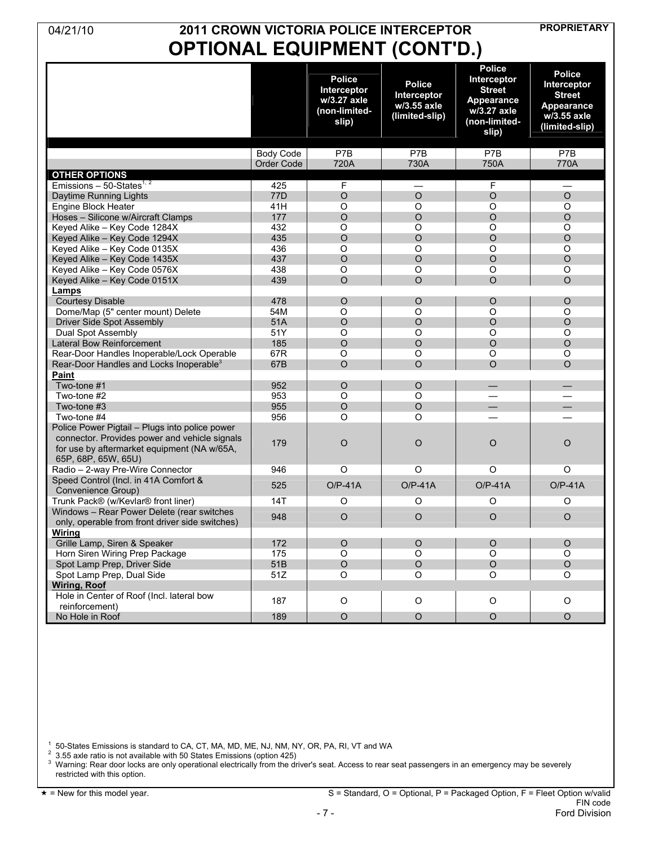## **PROPRIETARY** 04/21/10 **2011 CROWN VICTORIA POLICE INTERCEPTOR OPTIONAL EQUIPMENT (CONT'D.)**

|                                                                                                                     |                  | <b>Police</b><br>Interceptor<br>w/3.27 axle<br>(non-limited-<br>slip) | <b>Police</b><br>Interceptor<br>w/3.55 axle<br>(limited-slip) | <b>Police</b><br>Interceptor<br><b>Street</b><br>Appearance<br>w/3.27 axle<br>(non-limited-<br>slip) | <b>Police</b><br><b>Interceptor</b><br><b>Street</b><br><b>Appearance</b><br>w/3.55 axle<br>(limited-slip) |
|---------------------------------------------------------------------------------------------------------------------|------------------|-----------------------------------------------------------------------|---------------------------------------------------------------|------------------------------------------------------------------------------------------------------|------------------------------------------------------------------------------------------------------------|
|                                                                                                                     | <b>Body Code</b> | P7B                                                                   | P7B                                                           | P7B                                                                                                  | P7B                                                                                                        |
|                                                                                                                     | Order Code       | 720A                                                                  | 730A                                                          | 750A                                                                                                 | 770A                                                                                                       |
| <b>OTHER OPTIONS</b>                                                                                                |                  |                                                                       |                                                               |                                                                                                      |                                                                                                            |
| Emissions $-50$ -States <sup>1, 2</sup>                                                                             | 425              | F                                                                     | $\overline{\phantom{0}}$                                      | F                                                                                                    | $\overline{\phantom{0}}$                                                                                   |
| Daytime Running Lights                                                                                              | 77D              | $\circ$                                                               | $\circ$                                                       | $\circ$                                                                                              | $\circ$                                                                                                    |
| Engine Block Heater                                                                                                 | 41H              | $\circ$                                                               | O                                                             | $\circ$                                                                                              | $\circ$                                                                                                    |
| Hoses - Silicone w/Aircraft Clamps                                                                                  | 177              | $\circ$                                                               | $\circ$                                                       | $\circ$                                                                                              | $\circ$                                                                                                    |
| Keyed Alike - Key Code 1284X                                                                                        | 432              | $\circ$                                                               | $\circ$                                                       | $\circ$                                                                                              | $\circ$                                                                                                    |
| Keyed Alike - Key Code 1294X                                                                                        | 435              | $\circ$                                                               | $\circ$                                                       | $\circ$                                                                                              | $\circ$                                                                                                    |
| Keyed Alike - Key Code 0135X                                                                                        | 436              | $\circ$                                                               | $\circ$                                                       | $\circ$                                                                                              | $\circ$                                                                                                    |
| Keyed Alike - Key Code 1435X                                                                                        | 437              | $\circ$                                                               | $\circ$                                                       | $\circ$                                                                                              | $\circ$                                                                                                    |
| Keyed Alike - Key Code 0576X                                                                                        | 438              | $\circ$                                                               | $\circ$                                                       | $\circ$                                                                                              | $\circ$                                                                                                    |
| Keyed Alike - Key Code 0151X                                                                                        | 439              | $\Omega$                                                              | $\circ$                                                       | $\Omega$                                                                                             | $\Omega$                                                                                                   |
| Lamps                                                                                                               |                  |                                                                       |                                                               |                                                                                                      |                                                                                                            |
| <b>Courtesy Disable</b>                                                                                             | 478              | $\circ$                                                               | $\circ$                                                       | O                                                                                                    | $\circ$                                                                                                    |
| Dome/Map (5" center mount) Delete                                                                                   | 54M              | O                                                                     | O                                                             | $\circ$                                                                                              | $\circ$                                                                                                    |
| <b>Driver Side Spot Assembly</b>                                                                                    | 51A              | $\circ$                                                               | $\circ$                                                       | $\circ$                                                                                              | $\circ$                                                                                                    |
| Dual Spot Assembly                                                                                                  | 51Y              | $\circ$                                                               | $\circ$                                                       | $\circ$                                                                                              | O                                                                                                          |
| Lateral Bow Reinforcement                                                                                           | 185              | $\circ$                                                               | $\circ$                                                       | $\circ$                                                                                              | $\circ$                                                                                                    |
| Rear-Door Handles Inoperable/Lock Operable                                                                          | 67R              | $\circ$                                                               | $\circ$                                                       | $\circ$                                                                                              | $\circ$                                                                                                    |
| Rear-Door Handles and Locks Inoperable <sup>3</sup>                                                                 | 67B              | $\circ$                                                               | $\circ$                                                       | $\Omega$                                                                                             | $\Omega$                                                                                                   |
| Paint                                                                                                               |                  |                                                                       |                                                               |                                                                                                      |                                                                                                            |
| Two-tone #1                                                                                                         | 952              | $\circ$                                                               | $\circ$                                                       |                                                                                                      | $\overline{\phantom{0}}$                                                                                   |
| Two-tone #2                                                                                                         | 953              | $\circ$                                                               | O                                                             |                                                                                                      |                                                                                                            |
| Two-tone #3                                                                                                         | 955              | $\circ$                                                               | $\circ$                                                       | $\overline{\phantom{0}}$                                                                             |                                                                                                            |
| Two-tone #4                                                                                                         | 956              | O                                                                     | O                                                             |                                                                                                      |                                                                                                            |
| Police Power Pigtail - Plugs into police power                                                                      |                  |                                                                       |                                                               |                                                                                                      |                                                                                                            |
| connector. Provides power and vehicle signals<br>for use by aftermarket equipment (NA w/65A,<br>65P, 68P, 65W, 65U) | 179              | $\circ$                                                               | $\circ$                                                       | $\circ$                                                                                              | $\circ$                                                                                                    |
| Radio - 2-way Pre-Wire Connector                                                                                    | 946              | O                                                                     | O                                                             | O                                                                                                    | O                                                                                                          |
| Speed Control (Incl. in 41A Comfort &                                                                               |                  |                                                                       |                                                               |                                                                                                      |                                                                                                            |
| Convenience Group)                                                                                                  | 525              | $O/P-41A$                                                             | $O/P-41A$                                                     | $O/P-41A$                                                                                            | $O/P-41A$                                                                                                  |
| Trunk Pack® (w/Kevlar® front liner)                                                                                 | 14T              | O                                                                     | O                                                             | O                                                                                                    | O                                                                                                          |
| Windows - Rear Power Delete (rear switches                                                                          |                  |                                                                       |                                                               |                                                                                                      |                                                                                                            |
| only, operable from front driver side switches)                                                                     | 948              | $\circ$                                                               | $\circ$                                                       | $\circ$                                                                                              | $\circ$                                                                                                    |
| Wirina                                                                                                              |                  |                                                                       |                                                               |                                                                                                      |                                                                                                            |
| Grille Lamp, Siren & Speaker                                                                                        | 172              | $\circ$                                                               | $\circ$                                                       | $\circ$                                                                                              | $\circ$                                                                                                    |
| Horn Siren Wiring Prep Package                                                                                      | 175              | $\circ$                                                               | $\circ$                                                       | $\circ$                                                                                              | O                                                                                                          |
| Spot Lamp Prep, Driver Side                                                                                         | 51B              | $\circ$                                                               | $\circ$                                                       | $\circ$                                                                                              | $\circ$                                                                                                    |
| Spot Lamp Prep, Dual Side                                                                                           | 51Z              | $\circ$                                                               | O                                                             | $\circ$                                                                                              | $\circ$                                                                                                    |
| <b>Wiring, Roof</b>                                                                                                 |                  |                                                                       |                                                               |                                                                                                      |                                                                                                            |
| Hole in Center of Roof (Incl. lateral bow                                                                           |                  |                                                                       |                                                               |                                                                                                      |                                                                                                            |
| reinforcement)                                                                                                      | 187              | $\circ$                                                               | $\circ$                                                       | $\circ$                                                                                              | O                                                                                                          |
| No Hole in Roof                                                                                                     | 189              | $\circ$                                                               | $\circ$                                                       | $\circ$                                                                                              | $\circ$                                                                                                    |
|                                                                                                                     |                  |                                                                       |                                                               |                                                                                                      |                                                                                                            |

1 50-States Emissions is standard to CA, CT, MA, MD, ME, NJ, NM, NY, OR, PA, RI, VT and WA

 $^2\,$  3.55 axle ratio is not available with 50 States Emissions (option 425)<br> $^3\,$  Warning: Rear door locks are only operational electrically from the driver's seat. Access to rear seat passengers in an emergency may be restricted with this option.

 = New for this model year. S = Standard, O = Optional, P = Packaged Option, F = Fleet Option w/valid FIN code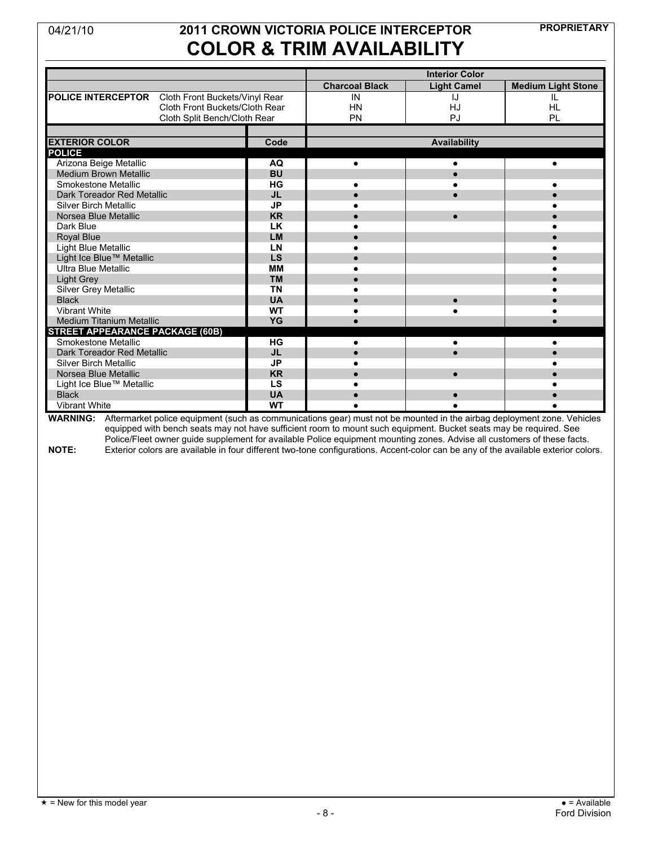## **PROPRIETARY** 04/21/10 **2011 CROWN VICTORIA POLICE INTERCEPTOR COLOR & TRIM AVAILABILITY**

|                                                   |           |                       | <b>Interior Color</b> |                           |
|---------------------------------------------------|-----------|-----------------------|-----------------------|---------------------------|
|                                                   |           | <b>Charcoal Black</b> | <b>Light Camel</b>    | <b>Medium Light Stone</b> |
| POLICE INTERCEPTOR Cloth Front Buckets/Vinyl Rear |           | IN                    | IJ                    | IL                        |
| Cloth Front Buckets/Cloth Rear                    |           | <b>HN</b>             | HJ                    | <b>HL</b>                 |
| Cloth Split Bench/Cloth Rear                      |           | PN                    | PJ                    | PL                        |
|                                                   |           |                       |                       |                           |
| <b>EXTERIOR COLOR</b>                             | Code      |                       | Availability          |                           |
| <b>POLICE</b>                                     |           |                       |                       |                           |
| Arizona Beige Metallic                            | <b>AQ</b> | $\bullet$             |                       |                           |
| <b>Medium Brown Metallic</b>                      | <b>BU</b> |                       |                       |                           |
| Smokestone Metallic                               | HG        | $\bullet$             |                       |                           |
| Dark Toreador Red Metallic                        | <b>JL</b> |                       |                       |                           |
| <b>Silver Birch Metallic</b>                      | <b>JP</b> |                       |                       |                           |
| Norsea Blue Metallic                              | <b>KR</b> |                       |                       |                           |
| Dark Blue                                         | <b>LK</b> |                       |                       |                           |
| <b>Royal Blue</b>                                 | <b>LM</b> |                       |                       |                           |
| Light Blue Metallic                               | LN        |                       |                       |                           |
| Light Ice Blue™ Metallic                          | LS        |                       |                       |                           |
| Ultra Blue Metallic                               | <b>MM</b> |                       |                       |                           |
| Light Grey                                        | <b>TM</b> |                       |                       |                           |
| Silver Grey Metallic                              | <b>TN</b> |                       |                       |                           |
| <b>Black</b>                                      | <b>UA</b> |                       |                       |                           |
| Vibrant White                                     | <b>WT</b> |                       |                       |                           |
| Medium Titanium Metallic                          | YG        |                       |                       |                           |
| <b>STREET APPEARANCE PACKAGE (60B)</b>            |           |                       |                       |                           |
| <b>Smokestone Metallic</b>                        | $H$ G     |                       |                       |                           |
| Dark Toreador Red Metallic                        | <b>JL</b> | $\bullet$             |                       |                           |
| <b>Silver Birch Metallic</b>                      | <b>JP</b> |                       |                       |                           |
| Norsea Blue Metallic                              | <b>KR</b> |                       |                       |                           |
| Light Ice Blue™ Metallic                          | LS        |                       |                       |                           |
| <b>Black</b>                                      | <b>UA</b> |                       |                       |                           |
| <b>Vibrant White</b>                              | <b>WT</b> |                       |                       |                           |

**WARNING:** Aftermarket police equipment (such as communications gear) must not be mounted in the airbag deployment zone. Vehicles equipped with bench seats may not have sufficient room to mount such equipment. Bucket seats may be required. See Police/Fleet owner guide supplement for available Police equipment mounting zones. Advise all customers of these facts. **NOTE:** Exterior colors are available in four different two-tone configurations. Accent-color can be any of the available exterior colors.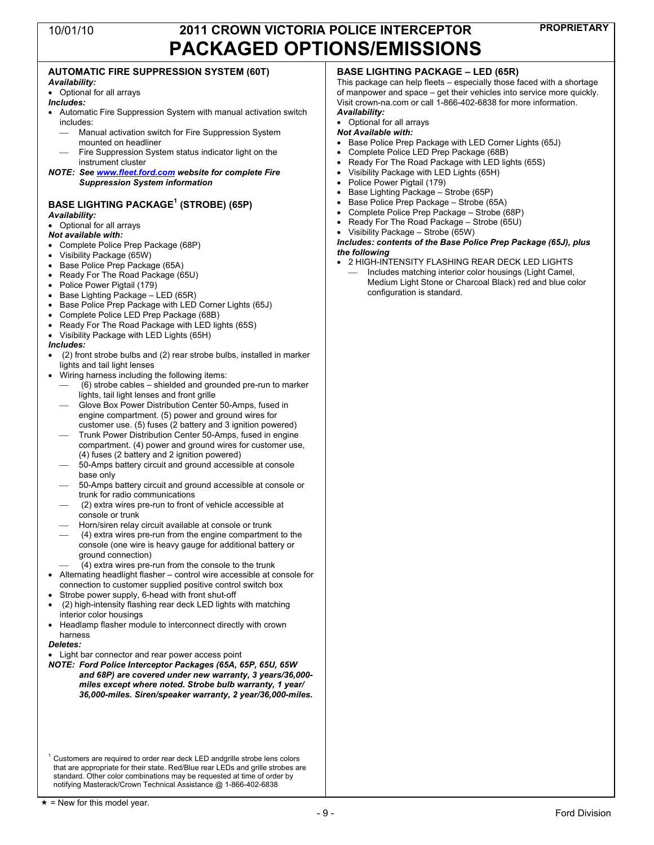#### **AUTOMATIC FIRE SUPPRESSION SYSTEM (60T)** *Availability:* • Optional for all arrays *Includes:* • Automatic Fire Suppression System with manual activation switch includes: Manual activation switch for Fire Suppression System mounted on headliner Fire Suppression System status indicator light on the instrument cluster *NOTE: See www.fleet.ford.com website for complete Fire Suppression System information* **BASE LIGHTING PACKAGE 1 (STROBE) (65P)** *Availability:* • Optional for all arrays *Not available with:* • Complete Police Prep Package (68P) • Visibility Package (65W) • Base Police Prep Package (65A) • Ready For The Road Package (65U) • Police Power Pigtail (179) • Base Lighting Package – LED (65R) • Base Police Prep Package with LED Corner Lights (65J) • Complete Police LED Prep Package (68B) • Ready For The Road Package with LED lights (65S) • Visibility Package with LED Lights (65H) *Includes:* • (2) front strobe bulbs and (2) rear strobe bulbs, installed in marker lights and tail light lenses Wiring harness including the following items: ⎯ (6) strobe cables – shielded and grounded pre-run to marker lights, tail light lenses and front grille Glove Box Power Distribution Center 50-Amps, fused in engine compartment. (5) power and ground wires for customer use. (5) fuses (2 battery and 3 ignition powered) Trunk Power Distribution Center 50-Amps, fused in engine compartment. (4) power and ground wires for customer use, (4) fuses (2 battery and 2 ignition powered) 50-Amps battery circuit and ground accessible at console base only ⎯ 50-Amps battery circuit and ground accessible at console or trunk for radio communications ⎯ (2) extra wires pre-run to front of vehicle accessible at console or trunk Horn/siren relay circuit available at console or trunk ⎯ (4) extra wires pre-run from the engine compartment to the console (one wire is heavy gauge for additional battery or ground connection) ⎯ (4) extra wires pre-run from the console to the trunk • Alternating headlight flasher – control wire accessible at console for connection to customer supplied positive control switch box • Strobe power supply, 6-head with front shut-off • (2) high-intensity flashing rear deck LED lights with matching interior color housings • Headlamp flasher module to interconnect directly with crown harness *Deletes:* Light bar connector and rear power access point *NOTE: Ford Police Interceptor Packages (65A, 65P, 65U, 65W and 68P) are covered under new warranty, 3 years/36,000 miles except where noted. Strobe bulb warranty, 1 year/ 36,000-miles. Siren/speaker warranty, 2 year/36,000-miles. Availability:* • Optional for all arrays *Not Available with:* • Base Police Prep Package with LED Corner Lights (65J) • Complete Police LED Prep Package (68B) • Visibility Package with LED Lights (65H) Police Power Pigtail (179) • Base Lighting Package – Strobe (65P) • Visibility Package – Strobe (65W) *the following* configuration is standard.

 $1$  Customers are required to order rear deck LED andgrille strobe lens colors that are appropriate for their state. Red/Blue rear LEDs and grille strobes are standard. Other color combinations may be requested at time of order by notifying Masterack/Crown Technical Assistance @ 1-866-402-6838

### **BASE LIGHTING PACKAGE – LED (65R)**

This package can help fleets – especially those faced with a shortage of manpower and space – get their vehicles into service more quickly. Visit crown-na.com or call 1-866-402-6838 for more information.

- 
- Ready For The Road Package with LED lights (65S)
- 
- 
- Base Police Prep Package Strobe (65A)
- Complete Police Prep Package Strobe (68P)
- Ready For The Road Package Strobe (65U)

# *Includes: contents of the Base Police Prep Package (65J), plus*

• 2 HIGH-INTENSITY FLASHING REAR DECK LED LIGHTS Includes matching interior color housings (Light Camel, Medium Light Stone or Charcoal Black) red and blue color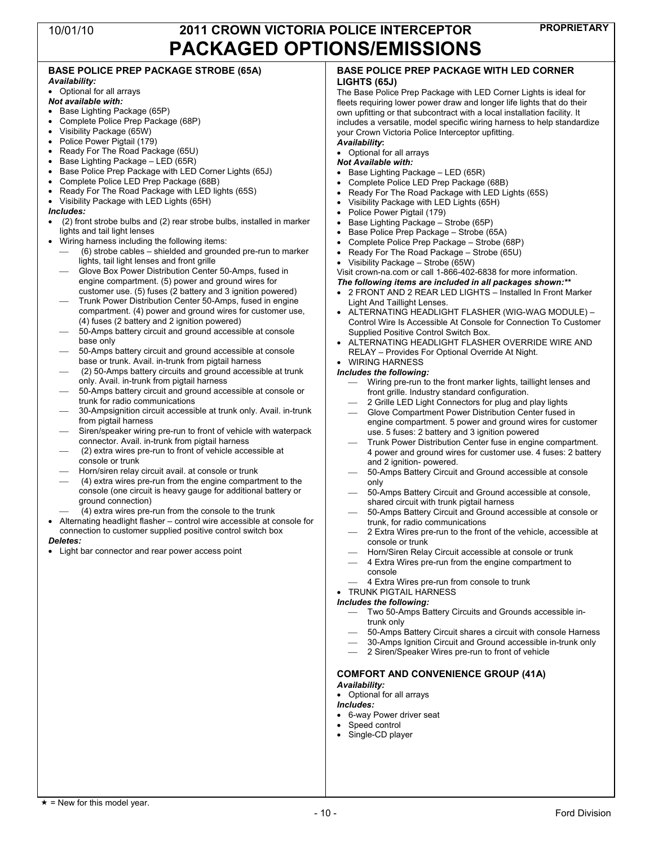#### **BASE POLICE PREP PACKAGE STROBE (65A)** *Availability:*

### • Optional for all arrays

#### *Not available with:*

- Base Lighting Package (65P)
- Complete Police Prep Package (68P)
- Visibility Package (65W)
- Police Power Pigtail (179)
- Ready For The Road Package (65U)
- Base Lighting Package LED  $(65R)$
- Base Police Prep Package with LED Corner Lights (65J)
- Complete Police LED Prep Package (68B)
- Ready For The Road Package with LED lights (65S)
- Visibility Package with LED Lights (65H)

#### *Includes:*

- (2) front strobe bulbs and (2) rear strobe bulbs, installed in marker lights and tail light lenses
- Wiring harness including the following items:
	- ⎯ (6) strobe cables shielded and grounded pre-run to marker lights, tail light lenses and front grille
	- Glove Box Power Distribution Center 50-Amps, fused in engine compartment. (5) power and ground wires for customer use. (5) fuses (2 battery and 3 ignition powered)
	- ⎯ Trunk Power Distribution Center 50-Amps, fused in engine compartment. (4) power and ground wires for customer use, (4) fuses (2 battery and 2 ignition powered)
	- 50-Amps battery circuit and ground accessible at console base only
	- ⎯ 50-Amps battery circuit and ground accessible at console base or trunk. Avail. in-trunk from pigtail harness
	- ⎯ (2) 50-Amps battery circuits and ground accessible at trunk only. Avail. in-trunk from pigtail harness
	- 50-Amps battery circuit and ground accessible at console or trunk for radio communications
	- 30-Ampsignition circuit accessible at trunk only. Avail. in-trunk from pigtail harness
	- Siren/speaker wiring pre-run to front of vehicle with waterpack connector. Avail. in-trunk from pigtail harness
	- ⎯ (2) extra wires pre-run to front of vehicle accessible at console or trunk
	- Horn/siren relay circuit avail. at console or trunk
	- ⎯ (4) extra wires pre-run from the engine compartment to the console (one circuit is heavy gauge for additional battery or ground connection)

 $(4)$  extra wires pre-run from the console to the trunk

• Alternating headlight flasher – control wire accessible at console for connection to customer supplied positive control switch box

#### *Deletes:*

• Light bar connector and rear power access point

#### **BASE POLICE PREP PACKAGE WITH LED CORNER LIGHTS (65J)**

The Base Police Prep Package with LED Corner Lights is ideal for fleets requiring lower power draw and longer life lights that do their own upfitting or that subcontract with a local installation facility. It includes a versatile, model specific wiring harness to help standardize your Crown Victoria Police Interceptor upfitting.

### *Availability***:**

- Optional for all arrays *Not Available with:*
- Base Lighting Package LED (65R)
- Complete Police LED Prep Package (68B)
- Ready For The Road Package with LED Lights (65S)
- Visibility Package with LED Lights (65H)
- Police Power Pigtail (179)
- Base Lighting Package Strobe (65P)
- Base Police Prep Package Strobe (65A)
- Complete Police Prep Package Strobe (68P)
- Ready For The Road Package Strobe (65U)
- Visibility Package Strobe (65W)

Visit crown-na.com or call 1-866-402-6838 for more information.

#### *The following items are included in all packages shown:\*\**

- 2 FRONT AND 2 REAR LED LIGHTS Installed In Front Marker Light And Taillight Lenses.
- ALTERNATING HEADLIGHT FLASHER (WIG-WAG MODULE) Control Wire Is Accessible At Console for Connection To Customer Supplied Positive Control Switch Box.
- ALTERNATING HEADLIGHT FLASHER OVERRIDE WIRE AND RELAY – Provides For Optional Override At Night.

#### • WIRING HARNESS *Includes the following:*

- Wiring pre-run to the front marker lights, taillight lenses and front grille. Industry standard configuration.
- 2 Grille LED Light Connectors for plug and play lights
- ⎯ Glove Compartment Power Distribution Center fused in engine compartment. 5 power and ground wires for customer use. 5 fuses: 2 battery and 3 ignition powered
- ⎯ Trunk Power Distribution Center fuse in engine compartment. 4 power and ground wires for customer use. 4 fuses: 2 battery and 2 ignition- powered.
- ⎯ 50-Amps Battery Circuit and Ground accessible at console only
- 50-Amps Battery Circuit and Ground accessible at console, shared circuit with trunk pigtail harness
- 50-Amps Battery Circuit and Ground accessible at console or trunk, for radio communications
- 2 Extra Wires pre-run to the front of the vehicle, accessible at console or trunk
- Horn/Siren Relay Circuit accessible at console or trunk
- 4 Extra Wires pre-run from the engine compartment to console
- ⎯ 4 Extra Wires pre-run from console to trunk
- TRUNK PIGTAIL HARNESS

#### *Includes the following:*

- ⎯ Two 50-Amps Battery Circuits and Grounds accessible intrunk only
- ⎯ 50-Amps Battery Circuit shares a circuit with console Harness
- 30-Amps Ignition Circuit and Ground accessible in-trunk only
- 2 Siren/Speaker Wires pre-run to front of vehicle

### **COMFORT AND CONVENIENCE GROUP (41A)**

### *Availability:*

• Optional for all arrays

### *Includes:*

- 6-way Power driver seat
- Speed control
- Single-CD player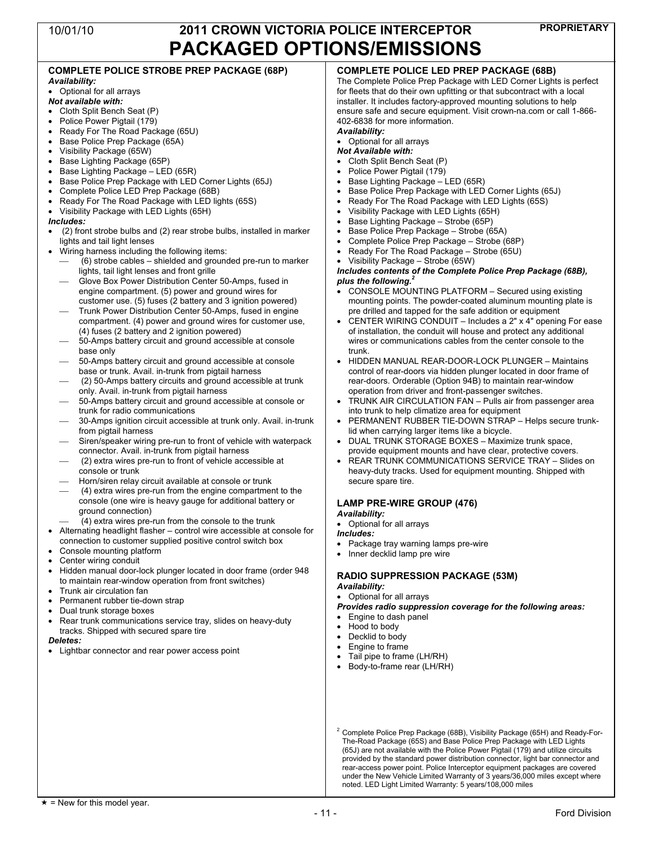|                                                                                                                                                                                                                                                                                                                                                                                                                                                                                                                                                                                                                                                                                                                                                                                                                                                                                                                                                                                                                                                                                                                                                                                                                                                                                                                                                                                                                                                                                                                                                                                                                                                                                                                                                                                                                                                                                                                                                                                                                                                                                                                                                                                                                                                                                                                                                                                                                                                                                                                                                                                                                                                                                                                                                                                                                                                                                                                                       | PAUNAUED UP HUNJ/EMIJJIUNJ                                                                                                                                                                                                                                                                                                                                                                                                                                                                                                                                                                                                                                                                                                                                                                                                                                                                                                                                                                                                                                                                                                                                                                                                                                                                                                                                                                                                                                                                                                                                                                                                                                                                                                                                                                                                                                                                                                                                                                                                                                                                                                                                                                                                                                                                                                                                                                                                                                                                                                                                                                                                                                                                                                                                 |
|---------------------------------------------------------------------------------------------------------------------------------------------------------------------------------------------------------------------------------------------------------------------------------------------------------------------------------------------------------------------------------------------------------------------------------------------------------------------------------------------------------------------------------------------------------------------------------------------------------------------------------------------------------------------------------------------------------------------------------------------------------------------------------------------------------------------------------------------------------------------------------------------------------------------------------------------------------------------------------------------------------------------------------------------------------------------------------------------------------------------------------------------------------------------------------------------------------------------------------------------------------------------------------------------------------------------------------------------------------------------------------------------------------------------------------------------------------------------------------------------------------------------------------------------------------------------------------------------------------------------------------------------------------------------------------------------------------------------------------------------------------------------------------------------------------------------------------------------------------------------------------------------------------------------------------------------------------------------------------------------------------------------------------------------------------------------------------------------------------------------------------------------------------------------------------------------------------------------------------------------------------------------------------------------------------------------------------------------------------------------------------------------------------------------------------------------------------------------------------------------------------------------------------------------------------------------------------------------------------------------------------------------------------------------------------------------------------------------------------------------------------------------------------------------------------------------------------------------------------------------------------------------------------------------------------------|------------------------------------------------------------------------------------------------------------------------------------------------------------------------------------------------------------------------------------------------------------------------------------------------------------------------------------------------------------------------------------------------------------------------------------------------------------------------------------------------------------------------------------------------------------------------------------------------------------------------------------------------------------------------------------------------------------------------------------------------------------------------------------------------------------------------------------------------------------------------------------------------------------------------------------------------------------------------------------------------------------------------------------------------------------------------------------------------------------------------------------------------------------------------------------------------------------------------------------------------------------------------------------------------------------------------------------------------------------------------------------------------------------------------------------------------------------------------------------------------------------------------------------------------------------------------------------------------------------------------------------------------------------------------------------------------------------------------------------------------------------------------------------------------------------------------------------------------------------------------------------------------------------------------------------------------------------------------------------------------------------------------------------------------------------------------------------------------------------------------------------------------------------------------------------------------------------------------------------------------------------------------------------------------------------------------------------------------------------------------------------------------------------------------------------------------------------------------------------------------------------------------------------------------------------------------------------------------------------------------------------------------------------------------------------------------------------------------------------------------------------|
| <b>COMPLETE POLICE STROBE PREP PACKAGE (68P)</b><br>Availability:<br>• Optional for all arrays<br>Not available with:<br>• Cloth Split Bench Seat (P)<br>Police Power Pigtail (179)<br>$\bullet$<br>Ready For The Road Package (65U)<br>Base Police Prep Package (65A)<br>Visibility Package (65W)<br>Base Lighting Package (65P)<br>$\bullet$<br>Base Lighting Package - LED (65R)<br>٠<br>Base Police Prep Package with LED Corner Lights (65J)<br>Complete Police LED Prep Package (68B)<br>Ready For The Road Package with LED lights (65S)<br>• Visibility Package with LED Lights (65H)<br>Includes:<br>(2) front strobe bulbs and (2) rear strobe bulbs, installed in marker<br>$\bullet$<br>lights and tail light lenses<br>Wiring harness including the following items:<br>(6) strobe cables – shielded and grounded pre-run to marker<br>$\overline{\phantom{0}}$<br>lights, tail light lenses and front grille<br>Glove Box Power Distribution Center 50-Amps, fused in<br>engine compartment. (5) power and ground wires for<br>customer use. (5) fuses (2 battery and 3 ignition powered)<br>Trunk Power Distribution Center 50-Amps, fused in engine<br>compartment. (4) power and ground wires for customer use,<br>(4) fuses (2 battery and 2 ignition powered)<br>50-Amps battery circuit and ground accessible at console<br>base only<br>50-Amps battery circuit and ground accessible at console<br>base or trunk. Avail. in-trunk from pigtail harness<br>(2) 50-Amps battery circuits and ground accessible at trunk<br>only. Avail. in-trunk from pigtail harness<br>50-Amps battery circuit and ground accessible at console or<br>trunk for radio communications<br>30-Amps ignition circuit accessible at trunk only. Avail. in-trunk<br>from pigtail harness<br>Siren/speaker wiring pre-run to front of vehicle with waterpack<br>connector. Avail. in-trunk from pigtail harness<br>(2) extra wires pre-run to front of vehicle accessible at<br>$\overbrace{\phantom{aaaaa}}$<br>console or trunk<br>Horn/siren relay circuit available at console or trunk<br>(4) extra wires pre-run from the engine compartment to the<br>$\overline{\phantom{0}}$<br>console (one wire is heavy gauge for additional battery or<br>ground connection)<br>(4) extra wires pre-run from the console to the trunk<br>Alternating headlight flasher - control wire accessible at console for<br>connection to customer supplied positive control switch box<br>Console mounting platform<br>Center wiring conduit<br>Hidden manual door-lock plunger located in door frame (order 948<br>to maintain rear-window operation from front switches)<br>Trunk air circulation fan<br>Permanent rubber tie-down strap<br>Dual trunk storage boxes<br>Rear trunk communications service tray, slides on heavy-duty<br>tracks. Shipped with secured spare tire<br>Deletes:<br>• Lightbar connector and rear power access point | <b>COMPLETE POLICE LED PREP PACKAGE (68B)</b><br>The Complete Police Prep Package with LED Corner Lights is perfect<br>for fleets that do their own upfitting or that subcontract with a local<br>installer. It includes factory-approved mounting solutions to help<br>ensure safe and secure equipment. Visit crown-na.com or call 1-866-<br>402-6838 for more information.<br>Availability:<br>Optional for all arrays<br>$\bullet$<br><b>Not Available with:</b><br>Cloth Split Bench Seat (P)<br>$\bullet$<br>Police Power Pigtail (179)<br>$\bullet$<br>Base Lighting Package - LED (65R)<br>Base Police Prep Package with LED Corner Lights (65J)<br>Ready For The Road Package with LED Lights (65S)<br>Visibility Package with LED Lights (65H)<br>Base Lighting Package - Strobe (65P)<br>Base Police Prep Package - Strobe (65A)<br>$\bullet$<br>Complete Police Prep Package - Strobe (68P)<br>Ready For The Road Package – Strobe (65U)<br>Visibility Package - Strobe (65W)<br>٠<br>Includes contents of the Complete Police Prep Package (68B),<br>plus the following. <sup>2</sup><br>CONSOLE MOUNTING PLATFORM – Secured using existing<br>mounting points. The powder-coated aluminum mounting plate is<br>pre drilled and tapped for the safe addition or equipment<br>CENTER WIRING CONDUIT - Includes a 2" x 4" opening For ease<br>of installation, the conduit will house and protect any additional<br>wires or communications cables from the center console to the<br>trunk.<br>HIDDEN MANUAL REAR-DOOR-LOCK PLUNGER - Maintains<br>control of rear-doors via hidden plunger located in door frame of<br>rear-doors. Orderable (Option 94B) to maintain rear-window<br>operation from driver and front-passenger switches.<br>TRUNK AIR CIRCULATION FAN - Pulls air from passenger area<br>into trunk to help climatize area for equipment<br>PERMANENT RUBBER TIE-DOWN STRAP - Helps secure trunk-<br>lid when carrying larger items like a bicycle.<br>DUAL TRUNK STORAGE BOXES - Maximize trunk space,<br>provide equipment mounts and have clear, protective covers.<br>REAR TRUNK COMMUNICATIONS SERVICE TRAY - Slides on<br>heavy-duty tracks. Used for equipment mounting. Shipped with<br>secure spare tire.<br><b>LAMP PRE-WIRE GROUP (476)</b><br>Availability:<br>• Optional for all arrays<br>Includes:<br>Package tray warning lamps pre-wire<br>Inner decklid lamp pre wire<br><b>RADIO SUPPRESSION PACKAGE (53M)</b><br>Availability:<br>Optional for all arrays<br>$\bullet$<br>Provides radio suppression coverage for the following areas:<br>Engine to dash panel<br>Hood to body<br>$\bullet$<br>Decklid to body<br>Engine to frame<br>$\bullet$<br>Tail pipe to frame (LH/RH)<br>Body-to-frame rear (LH/RH) |
|                                                                                                                                                                                                                                                                                                                                                                                                                                                                                                                                                                                                                                                                                                                                                                                                                                                                                                                                                                                                                                                                                                                                                                                                                                                                                                                                                                                                                                                                                                                                                                                                                                                                                                                                                                                                                                                                                                                                                                                                                                                                                                                                                                                                                                                                                                                                                                                                                                                                                                                                                                                                                                                                                                                                                                                                                                                                                                                                       |                                                                                                                                                                                                                                                                                                                                                                                                                                                                                                                                                                                                                                                                                                                                                                                                                                                                                                                                                                                                                                                                                                                                                                                                                                                                                                                                                                                                                                                                                                                                                                                                                                                                                                                                                                                                                                                                                                                                                                                                                                                                                                                                                                                                                                                                                                                                                                                                                                                                                                                                                                                                                                                                                                                                                            |

 $2$  Complete Police Prep Package (68B), Visibility Package (65H) and Ready-For-The-Road Package (65S) and Base Police Prep Package with LED Lights (65J) are not available with the Police Power Pigtail (179) and utilize circuits provided by the standard power distribution connector, light bar connector and rear-access power point. Police Interceptor equipment packages are covered under the New Vehicle Limited Warranty of 3 years/36,000 miles except where noted. LED Light Limited Warranty: 5 years/108,000 miles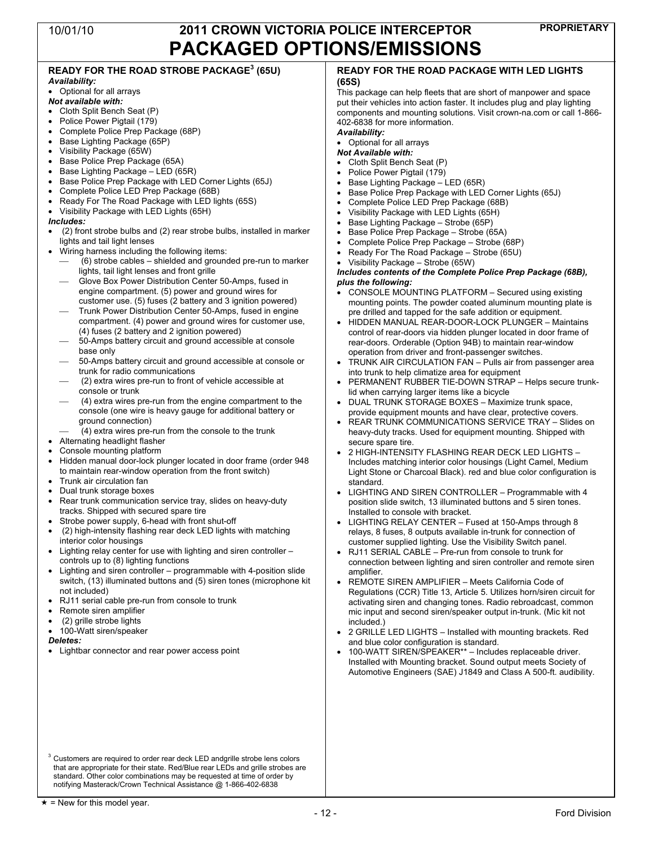#### **READY FOR THE ROAD STROBE PACKAGE 3 (65U)** *Availability:* • Optional for all arrays *Not available with:* • Cloth Split Bench Seat (P) • Police Power Pigtail (179) • Complete Police Prep Package (68P) • Base Lighting Package (65P) • Visibility Package (65W) • Base Police Prep Package (65A) • Base Lighting Package – LED (65R) • Base Police Prep Package with LED Corner Lights (65J) • Complete Police LED Prep Package (68B) • Ready For The Road Package with LED lights (65S) • Visibility Package with LED Lights (65H) *Includes:* • (2) front strobe bulbs and (2) rear strobe bulbs, installed in marker lights and tail light lenses • Wiring harness including the following items:  $(6)$  strobe cables – shielded and grounded pre-run to marker lights, tail light lenses and front grille ⎯ Glove Box Power Distribution Center 50-Amps, fused in engine compartment. (5) power and ground wires for customer use. (5) fuses (2 battery and 3 ignition powered) ⎯ Trunk Power Distribution Center 50-Amps, fused in engine compartment. (4) power and ground wires for customer use, (4) fuses (2 battery and 2 ignition powered) 50-Amps battery circuit and ground accessible at console base only ⎯ 50-Amps battery circuit and ground accessible at console or trunk for radio communications ⎯ (2) extra wires pre-run to front of vehicle accessible at console or trunk ⎯ (4) extra wires pre-run from the engine compartment to the console (one wire is heavy gauge for additional battery or ground connection)  $(4)$  extra wires pre-run from the console to the trunk • Alternating headlight flasher Console mounting platform • Hidden manual door-lock plunger located in door frame (order 948 to maintain rear-window operation from the front switch) • Trunk air circulation fan • Dual trunk storage boxes • Rear trunk communication service tray, slides on heavy-duty tracks. Shipped with secured spare tire Strobe power supply, 6-head with front shut-off • (2) high-intensity flashing rear deck LED lights with matching interior color housings • Lighting relay center for use with lighting and siren controller – controls up to (8) lighting functions • Lighting and siren controller – programmable with 4-position slide switch, (13) illuminated buttons and (5) siren tones (microphone kit not included) • RJ11 serial cable pre-run from console to trunk Remote siren amplifier • (2) grille strobe lights • 100-Watt siren/speaker *Deletes:* Lightbar connector and rear power access point <sup>3</sup> Customers are required to order rear deck LED andgrille strobe lens colors **READY FOR THE ROAD PACKAGE WITH LED LIGHTS (65S)** This package can help fleets that are short of manpower and space put their vehicles into action faster. It includes plug and play lighting components and mounting solutions. Visit crown-na.com or call 1-866- 402-6838 for more information. *Availability:* • Optional for all arrays *Not Available with:* • Cloth Split Bench Seat (P) Police Power Pigtail (179) • Base Lighting Package – LED (65R) • Base Police Prep Package with LED Corner Lights (65J) • Complete Police LED Prep Package (68B) • Visibility Package with LED Lights (65H) • Base Lighting Package – Strobe (65P) • Base Police Prep Package – Strobe (65A) • Complete Police Prep Package – Strobe (68P) • Ready For The Road Package – Strobe (65U) • Visibility Package – Strobe (65W) *Includes contents of the Complete Police Prep Package (68B), plus the following:* • CONSOLE MOUNTING PLATFORM – Secured using existing mounting points. The powder coated aluminum mounting plate is pre drilled and tapped for the safe addition or equipment. • HIDDEN MANUAL REAR-DOOR-LOCK PLUNGER – Maintains control of rear-doors via hidden plunger located in door frame of rear-doors. Orderable (Option 94B) to maintain rear-window operation from driver and front-passenger switches. • TRUNK AIR CIRCULATION FAN – Pulls air from passenger area into trunk to help climatize area for equipment • PERMANENT RUBBER TIE-DOWN STRAP – Helps secure trunklid when carrying larger items like a bicycle • DUAL TRUNK STORAGE BOXES – Maximize trunk space, provide equipment mounts and have clear, protective covers. • REAR TRUNK COMMUNICATIONS SERVICE TRAY – Slides on heavy-duty tracks. Used for equipment mounting. Shipped with secure spare tire. • 2 HIGH-INTENSITY FLASHING REAR DECK LED LIGHTS – Includes matching interior color housings (Light Camel, Medium Light Stone or Charcoal Black). red and blue color configuration is standard. • LIGHTING AND SIREN CONTROLLER – Programmable with 4 position slide switch, 13 illuminated buttons and 5 siren tones. Installed to console with bracket. • LIGHTING RELAY CENTER – Fused at 150-Amps through 8 relays, 8 fuses, 8 outputs available in-trunk for connection of customer supplied lighting. Use the Visibility Switch panel. • RJ11 SERIAL CABLE – Pre-run from console to trunk for connection between lighting and siren controller and remote siren amplifier. • REMOTE SIREN AMPLIFIER – Meets California Code of Regulations (CCR) Title 13, Article 5. Utilizes horn/siren circuit for activating siren and changing tones. Radio rebroadcast, common mic input and second siren/speaker output in-trunk. (Mic kit not included.) • 2 GRILLE LED LIGHTS – Installed with mounting brackets. Red and blue color configuration is standard. • 100-WATT SIREN/SPEAKER\*\* – Includes replaceable driver. Installed with Mounting bracket. Sound output meets Society of Automotive Engineers (SAE) J1849 and Class A 500-ft. audibility.

notifying Masterack/Crown Technical Assistance @ 1-866-402-6838

that are appropriate for their state. Red/Blue rear LEDs and grille strobes are standard. Other color combinations may be requested at time of order by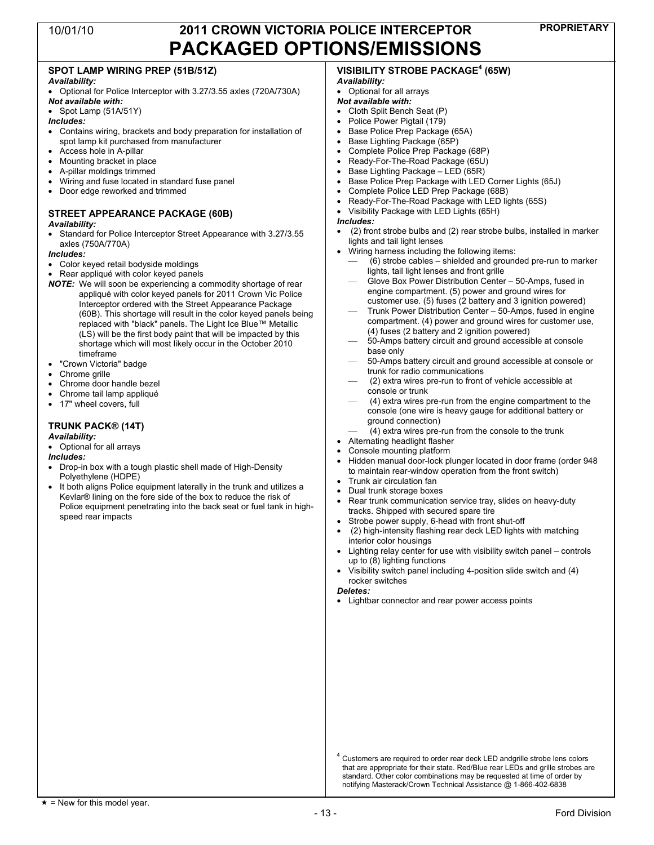### **SPOT LAMP WIRING PREP (51B/51Z)**

### *Availability:*

- Optional for Police Interceptor with 3.27/3.55 axles (720A/730A) *Not available with:*
- Spot Lamp (51A/51Y)

### *Includes:*

- Contains wiring, brackets and body preparation for installation of spot lamp kit purchased from manufacturer
- Access hole in A-pillar
- Mounting bracket in place
- A-pillar moldings trimmed
- Wiring and fuse located in standard fuse panel
- Door edge reworked and trimmed

### **STREET APPEARANCE PACKAGE (60B)**

- *Availability:*
- Standard for Police Interceptor Street Appearance with 3.27/3.55 axles (750A/770A)

### *Includes:*

- Color keyed retail bodyside moldings
- Rear appliqué with color keyed panels
- *NOTE:* We will soon be experiencing a commodity shortage of rear appliqué with color keyed panels for 2011 Crown Vic Police Interceptor ordered with the Street Appearance Package (60B). This shortage will result in the color keyed panels being replaced with "black" panels. The Light Ice Blue™ Metallic (LS) will be the first body paint that will be impacted by this shortage which will most likely occur in the October 2010 timeframe
- "Crown Victoria" badge
- Chrome grille
- Chrome door handle bezel
- Chrome tail lamp appliqué
- 17" wheel covers, full

### **TRUNK PACK® (14T)**

#### *Availability:*

• Optional for all arrays

#### *Includes:*

- Drop-in box with a tough plastic shell made of High-Density Polyethylene (HDPE)
- It both aligns Police equipment laterally in the trunk and utilizes a Kevlar® lining on the fore side of the box to reduce the risk of Police equipment penetrating into the back seat or fuel tank in highspeed rear impacts

### **VISIBILITY STROBE PACKAGE 4 (65W)** *Availability:*

### • Optional for all arrays

- *Not available with:*
- Cloth Split Bench Seat (P)
- Police Power Pigtail (179)
- Base Police Prep Package (65A)
- Base Lighting Package (65P)
- Complete Police Prep Package (68P) • Ready-For-The-Road Package (65U)
- 
- Base Lighting Package LED (65R) • Base Police Prep Package with LED Corner Lights (65J)
- 
- Complete Police LED Prep Package (68B) • Ready-For-The-Road Package with LED lights (65S)
- Visibility Package with LED Lights (65H)

#### *Includes:*

- (2) front strobe bulbs and (2) rear strobe bulbs, installed in marker lights and tail light lenses
- Wiring harness including the following items:
	- ⎯ (6) strobe cables shielded and grounded pre-run to marker lights, tail light lenses and front grille
	- Glove Box Power Distribution Center 50-Amps, fused in engine compartment. (5) power and ground wires for customer use. (5) fuses (2 battery and 3 ignition powered)
	- ⎯ Trunk Power Distribution Center 50-Amps, fused in engine compartment. (4) power and ground wires for customer use, (4) fuses (2 battery and 2 ignition powered)
	- 50-Amps battery circuit and ground accessible at console base only
	- ⎯ 50-Amps battery circuit and ground accessible at console or trunk for radio communications
	- ⎯ (2) extra wires pre-run to front of vehicle accessible at console or trunk
	- ⎯ (4) extra wires pre-run from the engine compartment to the console (one wire is heavy gauge for additional battery or ground connection)
	- $(4)$  extra wires pre-run from the console to the trunk
- Alternating headlight flasher
- Console mounting platform
- Hidden manual door-lock plunger located in door frame (order 948 to maintain rear-window operation from the front switch)
- Trunk air circulation fan
- Dual trunk storage boxes
- Rear trunk communication service tray, slides on heavy-duty tracks. Shipped with secured spare tire
- Strobe power supply, 6-head with front shut-off
- (2) high-intensity flashing rear deck LED lights with matching interior color housings
- Lighting relay center for use with visibility switch panel controls up to (8) lighting functions
- Visibility switch panel including 4-position slide switch and (4) rocker switches

*Deletes:*

• Lightbar connector and rear power access points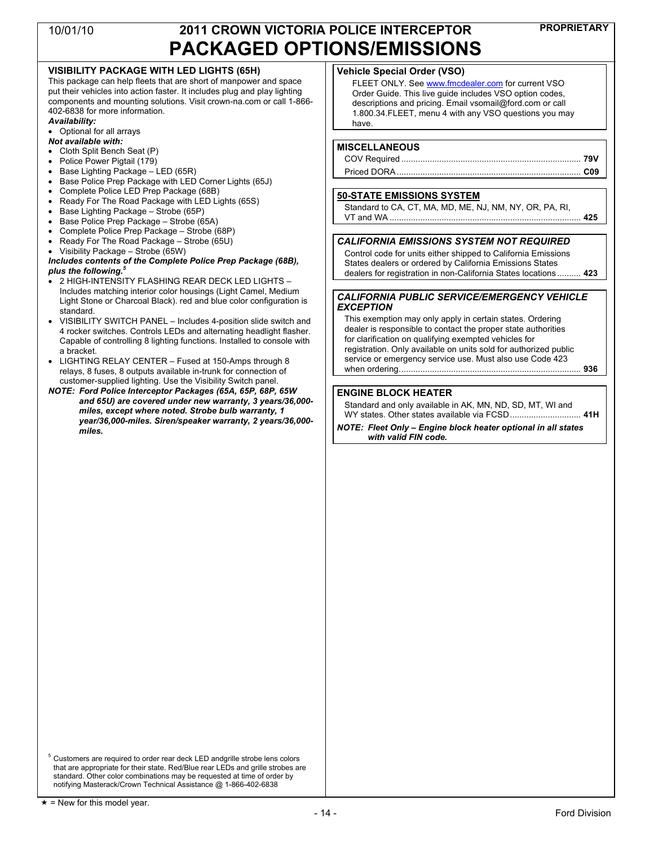### **VISIBILITY PACKAGE WITH LED LIGHTS (65H)**

This package can help fleets that are short of manpower and space put their vehicles into action faster. It includes plug and play lighting components and mounting solutions. Visit crown-na.com or call 1-866- 402-6838 for more information.

#### *Availability:*

- Optional for all arrays
- *Not available with:*
- Cloth Split Bench Seat (P)
- Police Power Pigtail (179)
- Base Lighting Package LED (65R)
- Base Police Prep Package with LED Corner Lights (65J)
- Complete Police LED Prep Package (68B)
- Ready For The Road Package with LED Lights (65S)
- Base Lighting Package Strobe (65P)
- Base Police Prep Package Strobe (65A)
- Complete Police Prep Package Strobe (68P)
- Ready For The Road Package Strobe (65U)
- Visibility Package Strobe (65W)

#### *Includes contents of the Complete Police Prep Package (68B), plus the following.<sup>5</sup>*

- 2 HIGH-INTENSITY FLASHING REAR DECK LED LIGHTS Includes matching interior color housings (Light Camel, Medium Light Stone or Charcoal Black). red and blue color configuration is standard.
- VISIBILITY SWITCH PANEL Includes 4-position slide switch and 4 rocker switches. Controls LEDs and alternating headlight flasher. Capable of controlling 8 lighting functions. Installed to console with a bracket.
- LIGHTING RELAY CENTER Fused at 150-Amps through 8 relays, 8 fuses, 8 outputs available in-trunk for connection of customer-supplied lighting. Use the Visibility Switch panel.
- *NOTE: Ford Police Interceptor Packages (65A, 65P, 68P, 65W and 65U) are covered under new warranty, 3 years/36,000 miles, except where noted. Strobe bulb warranty, 1 year/36,000-miles. Siren/speaker warranty, 2 years/36,000 miles.*

### **Vehicle Special Order (VSO)**

FLEET ONLY. See www.fmcdealer.com for current VSO Order Guide. This live guide includes VSO option codes, descriptions and pricing. Email vsomail@ford.com or call 1.800.34.FLEET, menu 4 with any VSO questions you may have.

### **MISCELLANEOUS**

### **50-STATE EMISSIONS SYSTEM**

| Standard to CA, CT, MA, MD, ME, NJ, NM, NY, OR, PA, RI, |  |
|---------------------------------------------------------|--|
|                                                         |  |

### *CALIFORNIA EMISSIONS SYSTEM NOT REQUIRED*

Control code for units either shipped to California Emissions States dealers or ordered by California Emissions States dealers for registration in non-California States locations .......... **423**

### *CALIFORNIA PUBLIC SERVICE/EMERGENCY VEHICLE EXCEPTION*

This exemption may only apply in certain states. Ordering dealer is responsible to contact the proper state authorities for clarification on qualifying exempted vehicles for registration. Only available on units sold for authorized public service or emergency service use. Must also use Code 423 when ordering............................................................................. **936**

### **ENGINE BLOCK HEATER**

Standard and only available in AK, MN, ND, SD, MT, WI and WY states. Other states available via FCSD.............................. **41H**

*NOTE: Fleet Only – Engine block heater optional in all states with valid FIN code.*

<sup>5</sup> Customers are required to order rear deck LED andgrille strobe lens colors that are appropriate for their state. Red/Blue rear LEDs and grille strobes are standard. Other color combinations may be requested at time of order by notifying Masterack/Crown Technical Assistance @ 1-866-402-6838